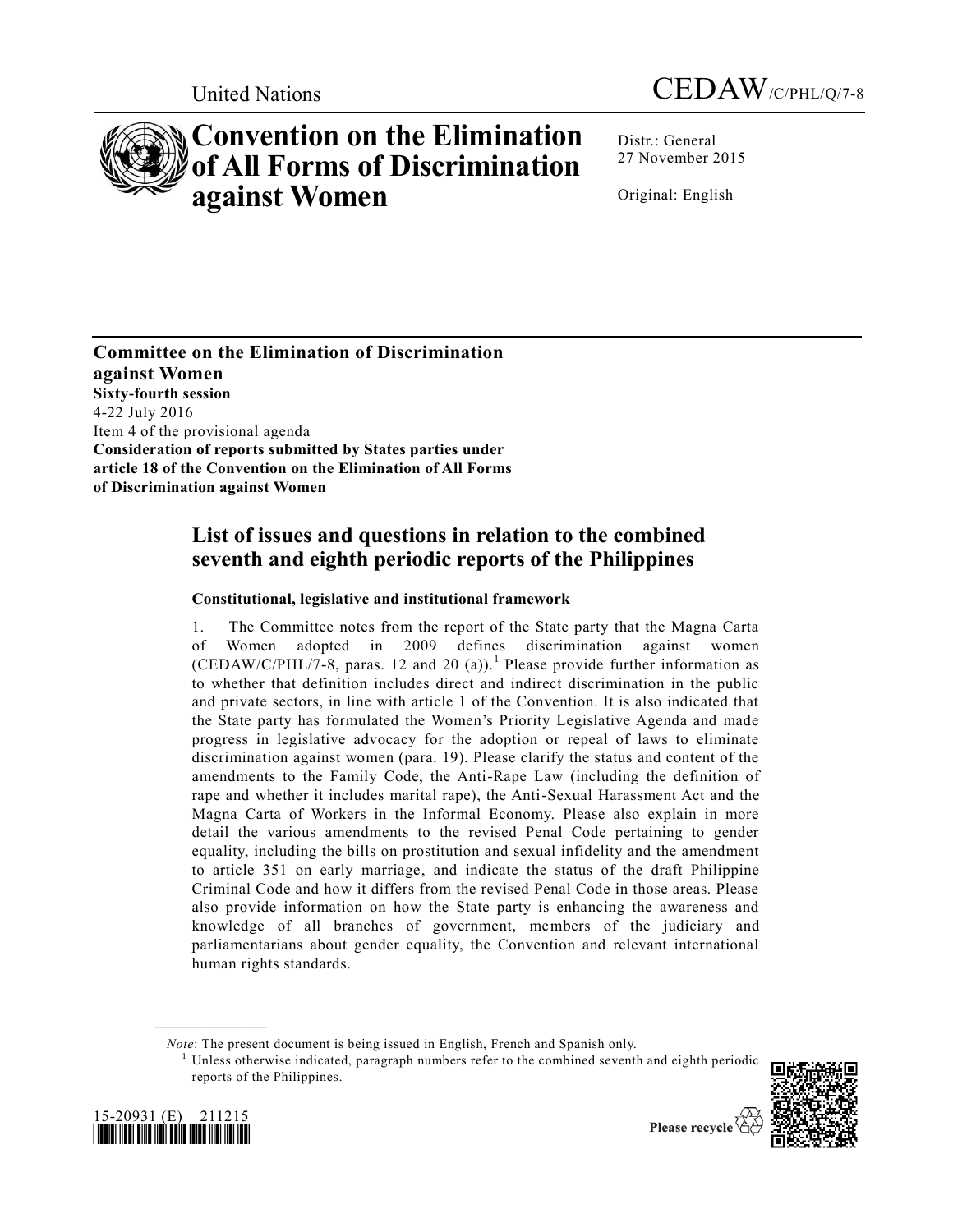

# **Convention on the Elimination of All Forms of Discrimination against Women**

United Nations CEDAW/C/PHL/Q/7-8

Distr.: General 27 November 2015

Original: English

**Committee on the Elimination of Discrimination against Women Sixty-fourth session** 4-22 July 2016 Item 4 of the provisional agenda **Consideration of reports submitted by States parties under article 18 of the Convention on the Elimination of All Forms of Discrimination against Women**

# **List of issues and questions in relation to the combined seventh and eighth periodic reports of the Philippines**

# **Constitutional, legislative and institutional framework**

1. The Committee notes from the report of the State party that the Magna Carta of Women adopted in 2009 defines discrimination against women  $(CEDAW/C/PHL/7-8$ , paras. 12 and 20 (a)).<sup>1</sup> Please provide further information as to whether that definition includes direct and indirect discrimination in the public and private sectors, in line with article 1 of the Convention. It is also indicated that the State party has formulated the Women's Priority Legislative Agenda and made progress in legislative advocacy for the adoption or repeal of laws to eliminate discrimination against women (para. 19). Please clarify the status and content of the amendments to the Family Code, the Anti-Rape Law (including the definition of rape and whether it includes marital rape), the Anti-Sexual Harassment Act and the Magna Carta of Workers in the Informal Economy. Please also explain in more detail the various amendments to the revised Penal Code pertaining to gender equality, including the bills on prostitution and sexual infidelity and the amendment to article 351 on early marriage, and indicate the status of the draft Philippine Criminal Code and how it differs from the revised Penal Code in those areas. Please also provide information on how the State party is enhancing the awareness and knowledge of all branches of government, members of the judiciary and parliamentarians about gender equality, the Convention and relevant international human rights standards.

*Note*: The present document is being issued in English, French and Spanish only.

<sup>1</sup> Unless otherwise indicated, paragraph numbers refer to the combined seventh and eighth periodic reports of the Philippines.





**\_\_\_\_\_\_\_\_\_\_\_\_\_\_\_\_\_\_**

Please recycle  $\langle$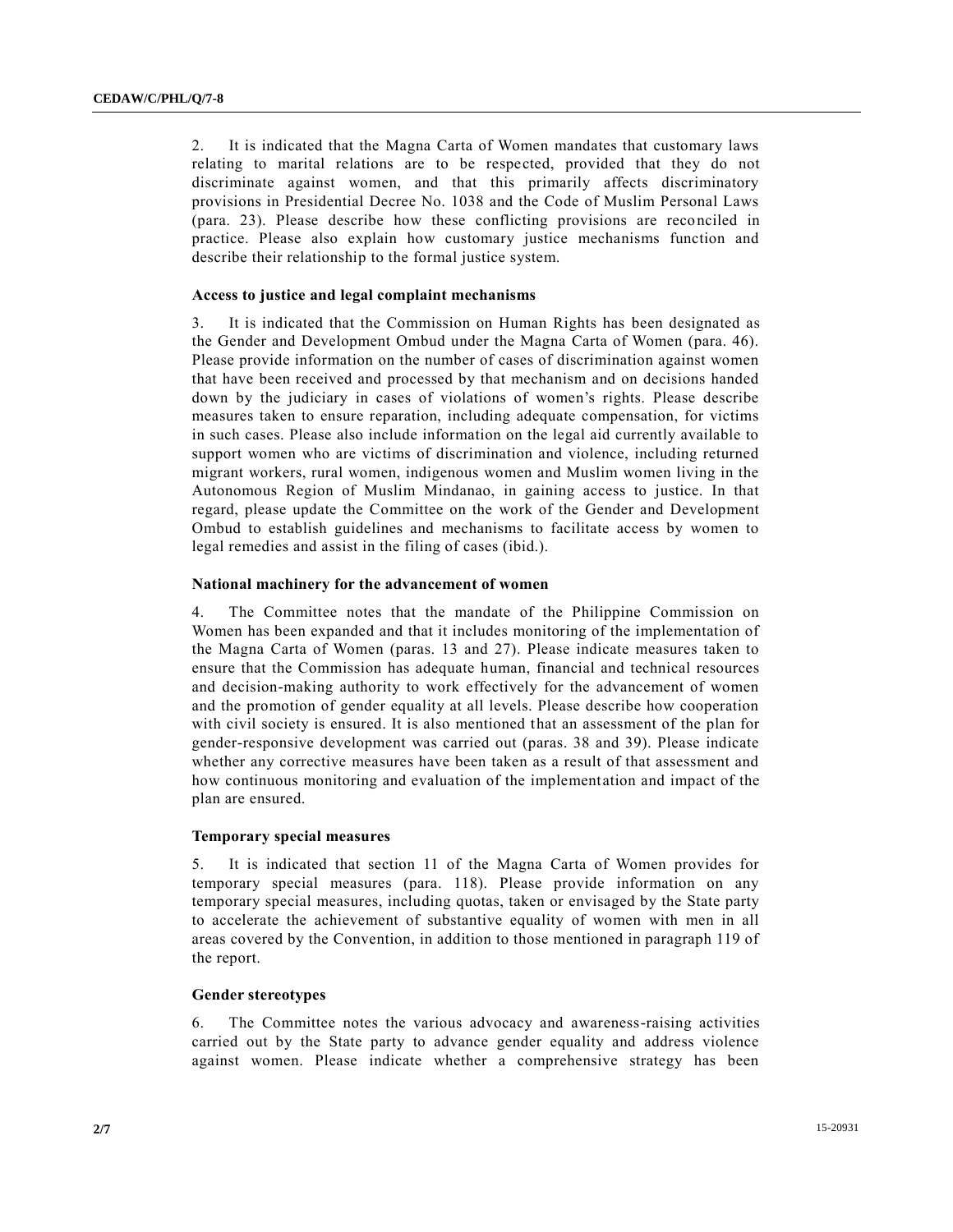2. It is indicated that the Magna Carta of Women mandates that customary laws relating to marital relations are to be respected, provided that they do not discriminate against women, and that this primarily affects discriminatory provisions in Presidential Decree No. 1038 and the Code of Muslim Personal Laws (para. 23). Please describe how these conflicting provisions are reconciled in practice. Please also explain how customary justice mechanisms function and describe their relationship to the formal justice system.

#### **Access to justice and legal complaint mechanisms**

3. It is indicated that the Commission on Human Rights has been designated as the Gender and Development Ombud under the Magna Carta of Women (para. 46). Please provide information on the number of cases of discrimination against women that have been received and processed by that mechanism and on decisions handed down by the judiciary in cases of violations of women's rights. Please describe measures taken to ensure reparation, including adequate compensation, for victims in such cases. Please also include information on the legal aid currently available to support women who are victims of discrimination and violence, including returned migrant workers, rural women, indigenous women and Muslim women living in the Autonomous Region of Muslim Mindanao, in gaining access to justice. In that regard, please update the Committee on the work of the Gender and Development Ombud to establish guidelines and mechanisms to facilitate access by women to legal remedies and assist in the filing of cases (ibid.).

## **National machinery for the advancement of women**

4. The Committee notes that the mandate of the Philippine Commission on Women has been expanded and that it includes monitoring of the implementation of the Magna Carta of Women (paras. 13 and 27). Please indicate measures taken to ensure that the Commission has adequate human, financial and technical resources and decision-making authority to work effectively for the advancement of women and the promotion of gender equality at all levels. Please describe how cooperation with civil society is ensured. It is also mentioned that an assessment of the plan for gender-responsive development was carried out (paras. 38 and 39). Please indicate whether any corrective measures have been taken as a result of that assessment and how continuous monitoring and evaluation of the implementation and impact of the plan are ensured.

#### **Temporary special measures**

5. It is indicated that section 11 of the Magna Carta of Women provides for temporary special measures (para. 118). Please provide information on any temporary special measures, including quotas, taken or envisaged by the State party to accelerate the achievement of substantive equality of women with men in all areas covered by the Convention, in addition to those mentioned in paragraph 119 of the report.

# **Gender stereotypes**

6. The Committee notes the various advocacy and awareness-raising activities carried out by the State party to advance gender equality and address violence against women. Please indicate whether a comprehensive strategy has been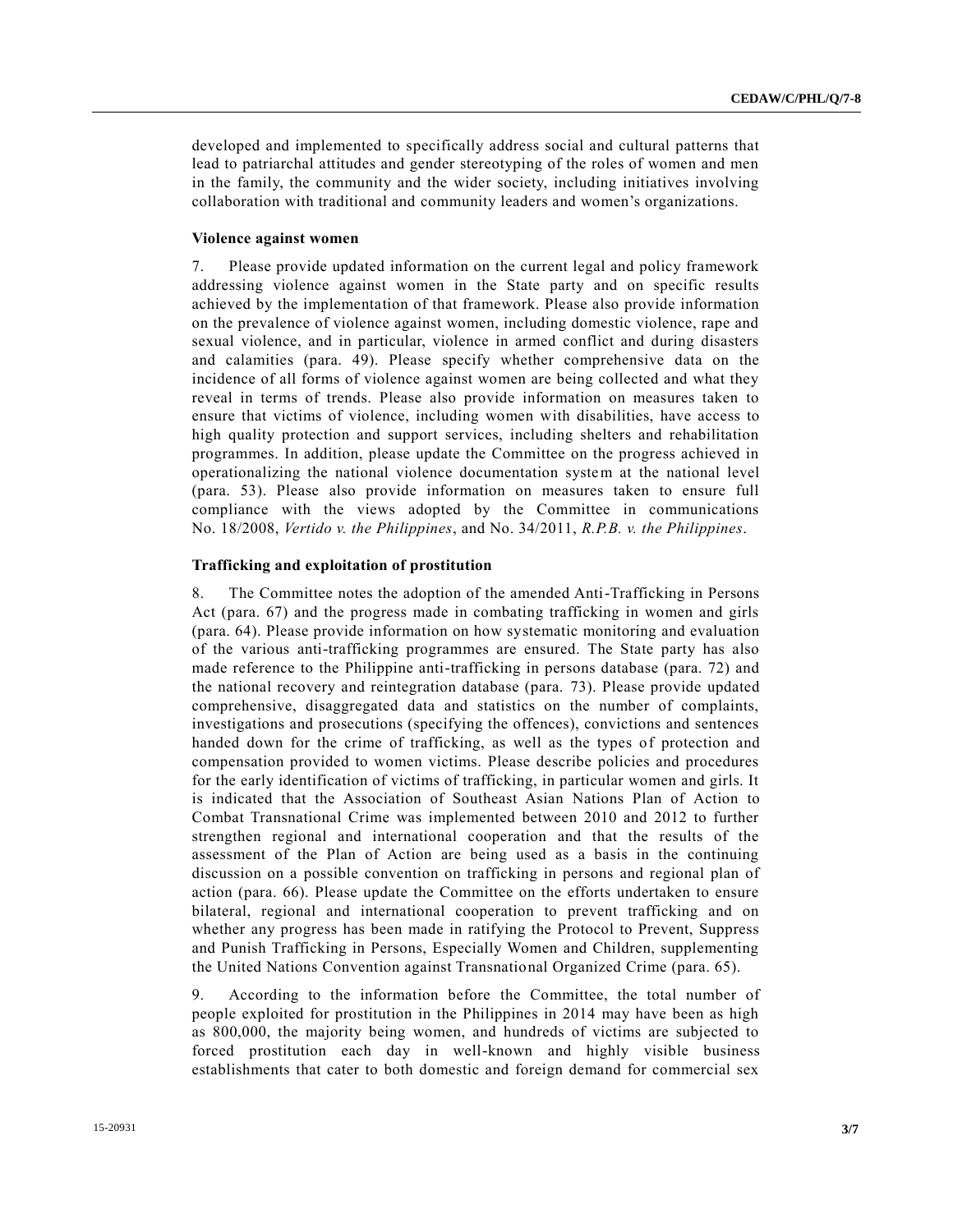developed and implemented to specifically address social and cultural patterns that lead to patriarchal attitudes and gender stereotyping of the roles of women and men in the family, the community and the wider society, including initiatives involving collaboration with traditional and community leaders and women's organizations.

#### **Violence against women**

7. Please provide updated information on the current legal and policy framework addressing violence against women in the State party and on specific results achieved by the implementation of that framework. Please also provide information on the prevalence of violence against women, including domestic violence, rape and sexual violence, and in particular, violence in armed conflict and during disasters and calamities (para. 49). Please specify whether comprehensive data on the incidence of all forms of violence against women are being collected and what they reveal in terms of trends. Please also provide information on measures taken to ensure that victims of violence, including women with disabilities, have access to high quality protection and support services, including shelters and rehabilitation programmes. In addition, please update the Committee on the progress achieved in operationalizing the national violence documentation system at the national level (para. 53). Please also provide information on measures taken to ensure full compliance with the views adopted by the Committee in communications No. 18/2008, *Vertido v. the Philippines*, and No. 34/2011, *R.P.B. v. the Philippines*.

#### **Trafficking and exploitation of prostitution**

8. The Committee notes the adoption of the amended Anti-Trafficking in Persons Act (para. 67) and the progress made in combating trafficking in women and girls (para. 64). Please provide information on how systematic monitoring and evaluation of the various anti-trafficking programmes are ensured. The State party has also made reference to the Philippine anti-trafficking in persons database (para. 72) and the national recovery and reintegration database (para. 73). Please provide updated comprehensive, disaggregated data and statistics on the number of complaints, investigations and prosecutions (specifying the offences), convictions and sentences handed down for the crime of trafficking, as well as the types of protection and compensation provided to women victims. Please describe policies and procedures for the early identification of victims of trafficking, in particular women and girls. It is indicated that the Association of Southeast Asian Nations Plan of Action to Combat Transnational Crime was implemented between 2010 and 2012 to further strengthen regional and international cooperation and that the results of the assessment of the Plan of Action are being used as a basis in the continuing discussion on a possible convention on trafficking in persons and regional plan of action (para. 66). Please update the Committee on the efforts undertaken to ensure bilateral, regional and international cooperation to prevent trafficking and on whether any progress has been made in ratifying the Protocol to Prevent, Suppress and Punish Trafficking in Persons, Especially Women and Children, supplementing the United Nations Convention against Transnational Organized Crime (para. 65).

9. According to the information before the Committee, the total number of people exploited for prostitution in the Philippines in 2014 may have been as high as 800,000, the majority being women, and hundreds of victims are subjected to forced prostitution each day in well-known and highly visible business establishments that cater to both domestic and foreign demand for commercial sex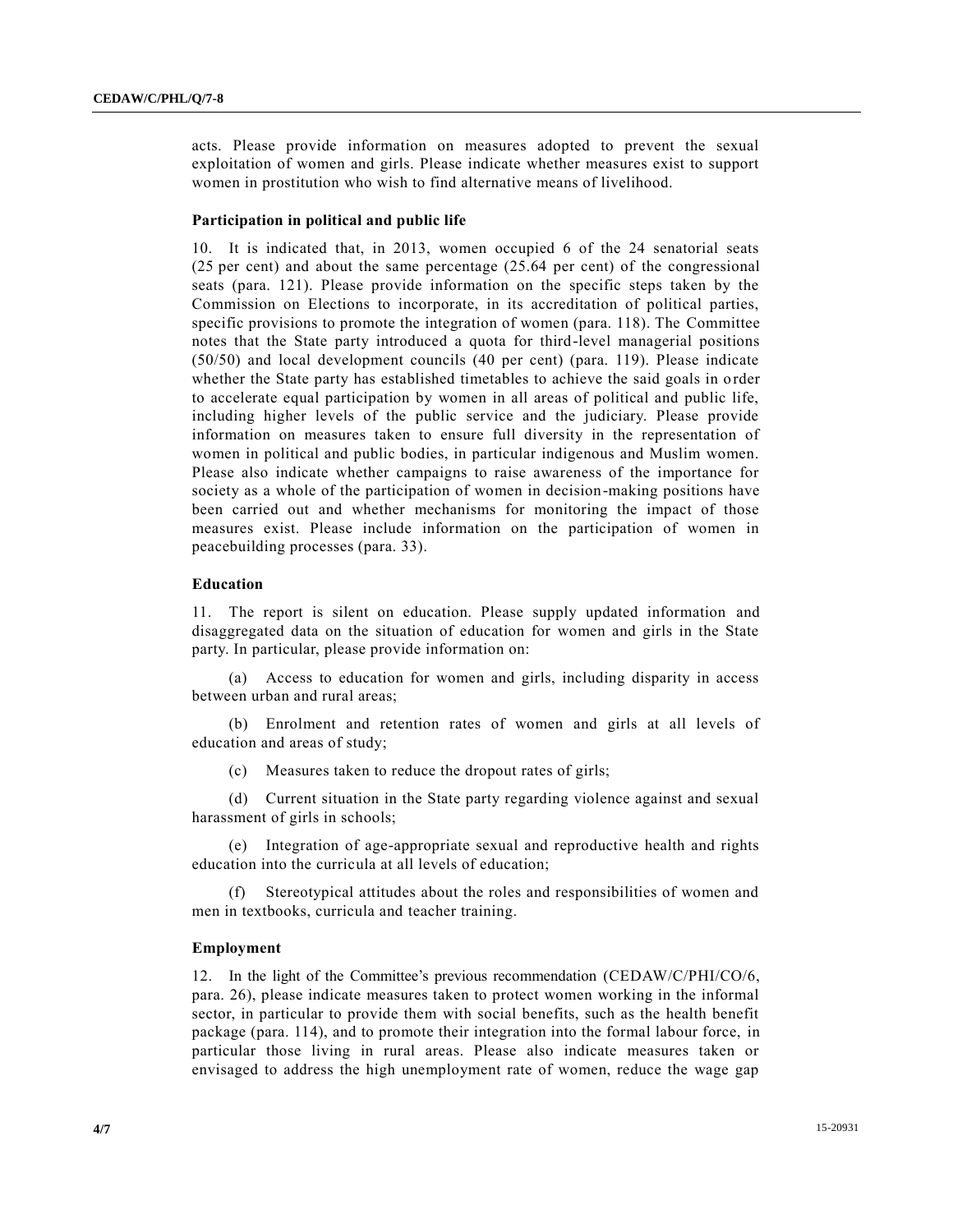acts. Please provide information on measures adopted to prevent the sexual exploitation of women and girls. Please indicate whether measures exist to support women in prostitution who wish to find alternative means of livelihood.

#### **Participation in political and public life**

10. It is indicated that, in 2013, women occupied 6 of the 24 senatorial seats (25 per cent) and about the same percentage (25.64 per cent) of the congressional seats (para. 121). Please provide information on the specific steps taken by the Commission on Elections to incorporate, in its accreditation of political parties, specific provisions to promote the integration of women (para. 118). The Committee notes that the State party introduced a quota for third-level managerial positions (50/50) and local development councils (40 per cent) (para. 119). Please indicate whether the State party has established timetables to achieve the said goals in order to accelerate equal participation by women in all areas of political and public life, including higher levels of the public service and the judiciary. Please provide information on measures taken to ensure full diversity in the representation of women in political and public bodies, in particular indigenous and Muslim women. Please also indicate whether campaigns to raise awareness of the importance for society as a whole of the participation of women in decision-making positions have been carried out and whether mechanisms for monitoring the impact of those measures exist. Please include information on the participation of women in peacebuilding processes (para. 33).

#### **Education**

11. The report is silent on education. Please supply updated information and disaggregated data on the situation of education for women and girls in the State party. In particular, please provide information on:

(a) Access to education for women and girls, including disparity in access between urban and rural areas;

(b) Enrolment and retention rates of women and girls at all levels of education and areas of study;

(c) Measures taken to reduce the dropout rates of girls;

(d) Current situation in the State party regarding violence against and sexual harassment of girls in schools;

(e) Integration of age-appropriate sexual and reproductive health and rights education into the curricula at all levels of education;

(f) Stereotypical attitudes about the roles and responsibilities of women and men in textbooks, curricula and teacher training.

#### **Employment**

12. In the light of the Committee's previous recommendation [\(CEDAW/C/PHI/CO/6,](http://undocs.org/CEDAW/C/PHI/CO/6) para. 26), please indicate measures taken to protect women working in the informal sector, in particular to provide them with social benefits, such as the health benefit package (para. 114), and to promote their integration into the formal labour force, in particular those living in rural areas. Please also indicate measures taken or envisaged to address the high unemployment rate of women, reduce the wage gap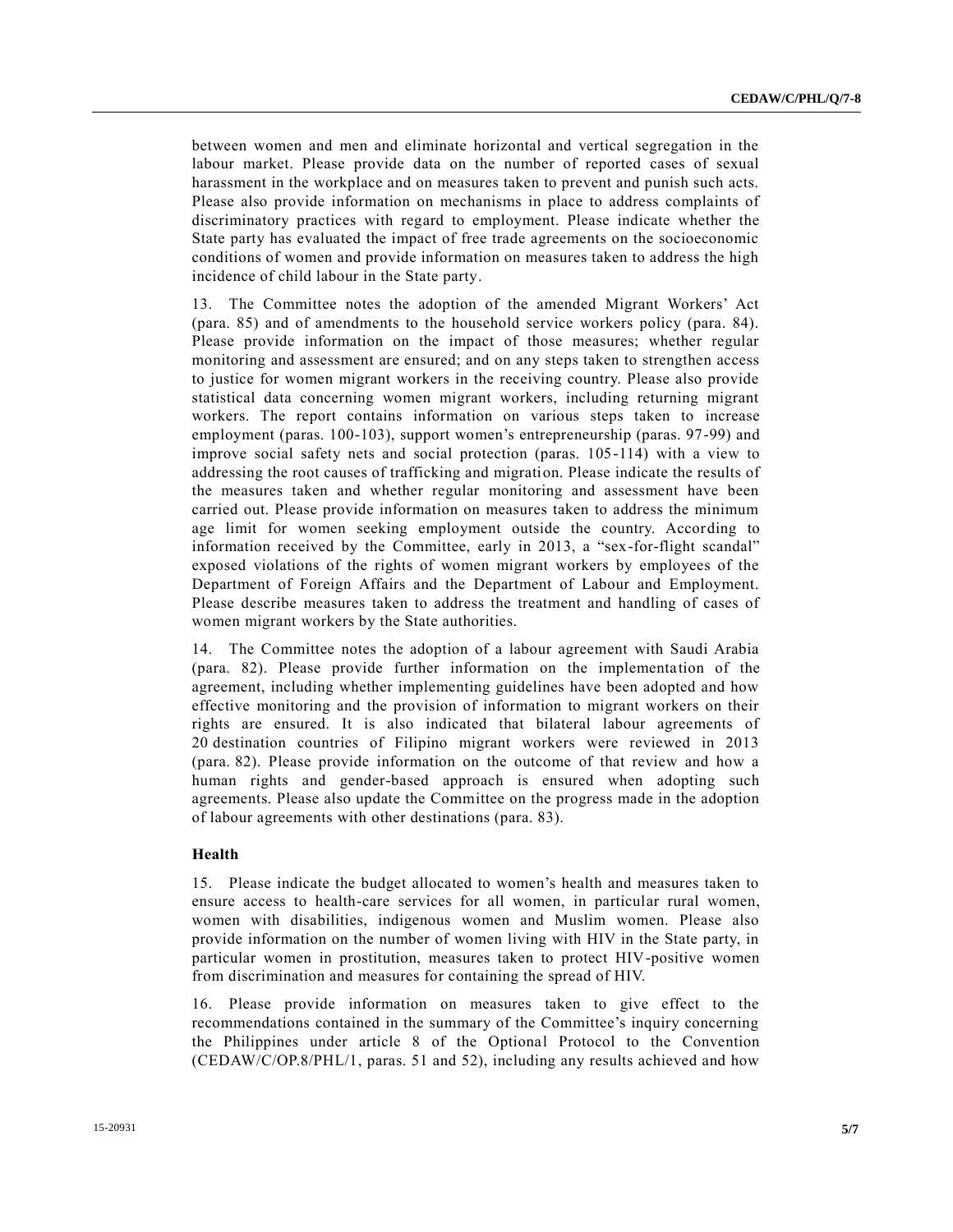between women and men and eliminate horizontal and vertical segregation in the labour market. Please provide data on the number of reported cases of sexual harassment in the workplace and on measures taken to prevent and punish such acts. Please also provide information on mechanisms in place to address complaints of discriminatory practices with regard to employment. Please indicate whether the State party has evaluated the impact of free trade agreements on the socioeconomic conditions of women and provide information on measures taken to address the high incidence of child labour in the State party.

13. The Committee notes the adoption of the amended Migrant Workers' Act (para. 85) and of amendments to the household service workers policy (para. 84). Please provide information on the impact of those measures; whether regular monitoring and assessment are ensured; and on any steps taken to strengthen access to justice for women migrant workers in the receiving country. Please also provide statistical data concerning women migrant workers, including returning migrant workers. The report contains information on various steps taken to increase employment (paras. 100-103), support women's entrepreneurship (paras. 97-99) and improve social safety nets and social protection (paras. 105-114) with a view to addressing the root causes of trafficking and migration. Please indicate the results of the measures taken and whether regular monitoring and assessment have been carried out. Please provide information on measures taken to address the minimum age limit for women seeking employment outside the country. According to information received by the Committee, early in 2013, a "sex-for-flight scandal" exposed violations of the rights of women migrant workers by employees of the Department of Foreign Affairs and the Department of Labour and Employment. Please describe measures taken to address the treatment and handling of cases of women migrant workers by the State authorities.

14. The Committee notes the adoption of a labour agreement with Saudi Arabia (para. 82). Please provide further information on the implementa tion of the agreement, including whether implementing guidelines have been adopted and how effective monitoring and the provision of information to migrant workers on their rights are ensured. It is also indicated that bilateral labour agreements of 20 destination countries of Filipino migrant workers were reviewed in 2013 (para. 82). Please provide information on the outcome of that review and how a human rights and gender-based approach is ensured when adopting such agreements. Please also update the Committee on the progress made in the adoption of labour agreements with other destinations (para. 83).

# **Health**

15. Please indicate the budget allocated to women's health and measures taken to ensure access to health-care services for all women, in particular rural women, women with disabilities, indigenous women and Muslim women. Please also provide information on the number of women living with HIV in the State party, in particular women in prostitution, measures taken to protect HIV-positive women from discrimination and measures for containing the spread of HIV.

16. Please provide information on measures taken to give effect to the recommendations contained in the summary of the Committee's inquiry concerning the Philippines under article 8 of the Optional Protocol to the Convention [\(CEDAW/C/OP.8/PHL/1,](http://undocs.org/CEDAW/C/OP.8/PHL/1) paras. 51 and 52), including any results achieved and how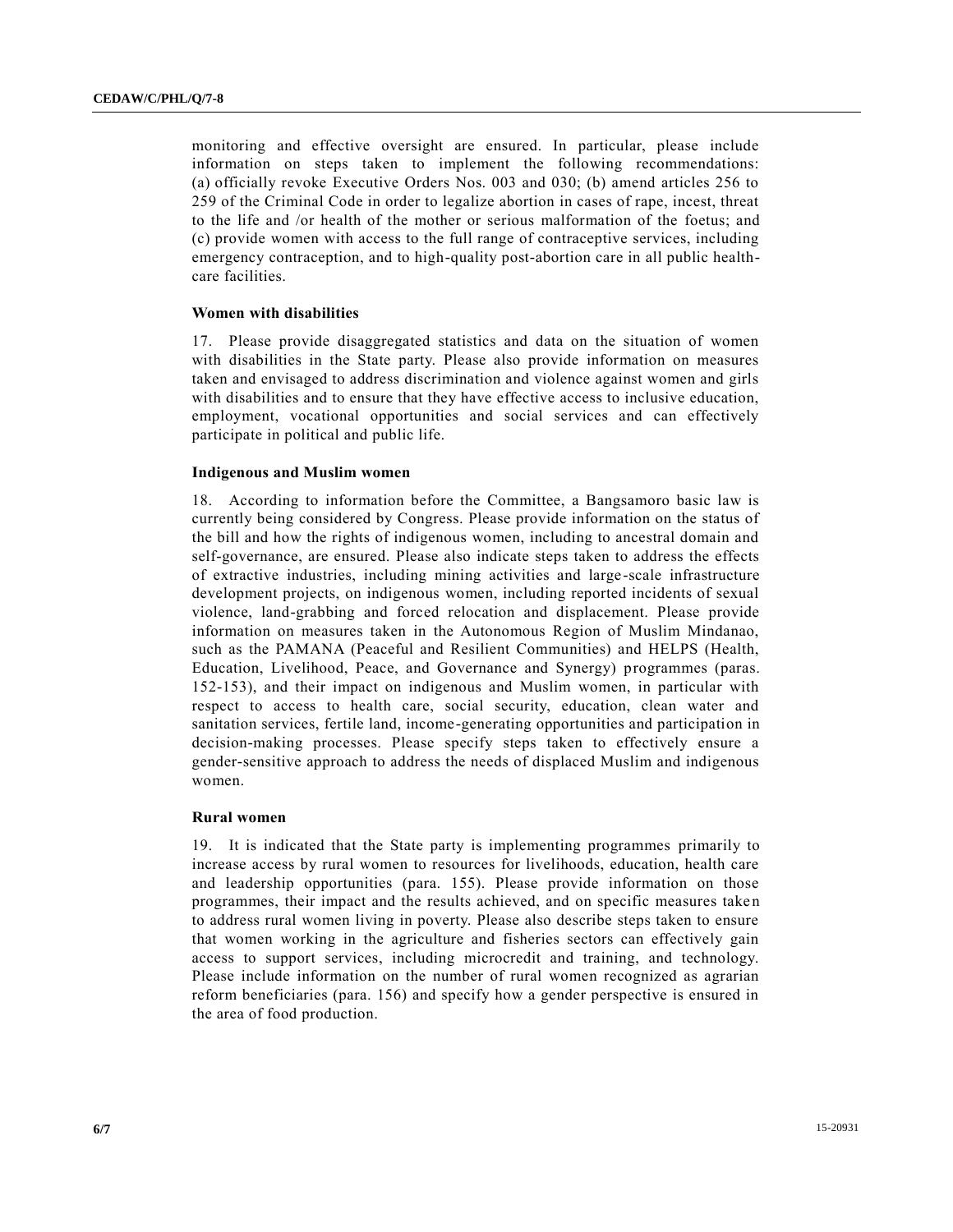monitoring and effective oversight are ensured. In particular, please include information on steps taken to implement the following recommendations: (a) officially revoke Executive Orders Nos. 003 and 030; (b) amend articles 256 to 259 of the Criminal Code in order to legalize abortion in cases of rape, incest, threat to the life and /or health of the mother or serious malformation of the foetus; and (c) provide women with access to the full range of contraceptive services, including emergency contraception, and to high-quality post-abortion care in all public healthcare facilities.

#### **Women with disabilities**

17. Please provide disaggregated statistics and data on the situation of women with disabilities in the State party. Please also provide information on measures taken and envisaged to address discrimination and violence against women and girls with disabilities and to ensure that they have effective access to inclusive education, employment, vocational opportunities and social services and can effectively participate in political and public life.

#### **Indigenous and Muslim women**

18. According to information before the Committee, a Bangsamoro basic law is currently being considered by Congress. Please provide information on the status of the bill and how the rights of indigenous women, including to ancestral domain and self-governance, are ensured. Please also indicate steps taken to address the effects of extractive industries, including mining activities and large -scale infrastructure development projects, on indigenous women, including reported incidents of sexual violence, land-grabbing and forced relocation and displacement. Please provide information on measures taken in the Autonomous Region of Muslim Mindanao, such as the PAMANA (Peaceful and Resilient Communities) and HELPS (Health, Education, Livelihood, Peace, and Governance and Synergy) programmes (paras. 152-153), and their impact on indigenous and Muslim women, in particular with respect to access to health care, social security, education, clean water and sanitation services, fertile land, income-generating opportunities and participation in decision-making processes. Please specify steps taken to effectively ensure a gender-sensitive approach to address the needs of displaced Muslim and indigenous women.

#### **Rural women**

19. It is indicated that the State party is implementing programmes primarily to increase access by rural women to resources for livelihoods, education, health care and leadership opportunities (para. 155). Please provide information on those programmes, their impact and the results achieved, and on specific measures take n to address rural women living in poverty. Please also describe steps taken to ensure that women working in the agriculture and fisheries sectors can effectively gain access to support services, including microcredit and training, and technology. Please include information on the number of rural women recognized as agrarian reform beneficiaries (para. 156) and specify how a gender perspective is ensured in the area of food production.